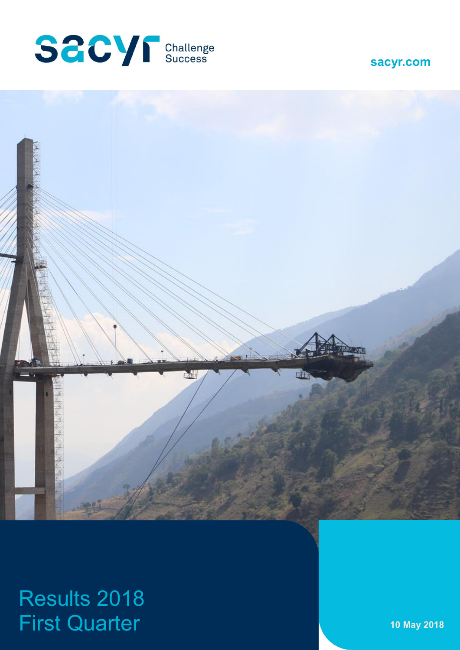



# Results 2018 First Quarter **10 May 2018**

**sacyr.com**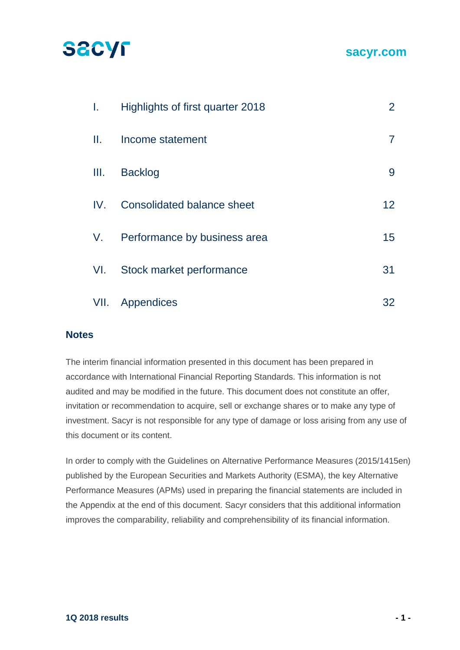## **SACYF**

| L.   | Highlights of first quarter 2018  | $\overline{2}$ |
|------|-----------------------------------|----------------|
| Ш.   | Income statement                  |                |
| III. | <b>Backlog</b>                    | 9              |
| IV.  | <b>Consolidated balance sheet</b> | 12             |
| V.   | Performance by business area      | 15             |
| VI.  | Stock market performance          | 31             |
| VII. | Appendices                        | 32             |

#### **Notes**

The interim financial information presented in this document has been prepared in accordance with International Financial Reporting Standards. This information is not audited and may be modified in the future. This document does not constitute an offer, invitation or recommendation to acquire, sell or exchange shares or to make any type of investment. Sacyr is not responsible for any type of damage or loss arising from any use of this document or its content.

In order to comply with the Guidelines on Alternative Performance Measures (2015/1415en) published by the European Securities and Markets Authority (ESMA), the key Alternative Performance Measures (APMs) used in preparing the financial statements are included in the Appendix at the end of this document. Sacyr considers that this additional information improves the comparability, reliability and comprehensibility of its financial information.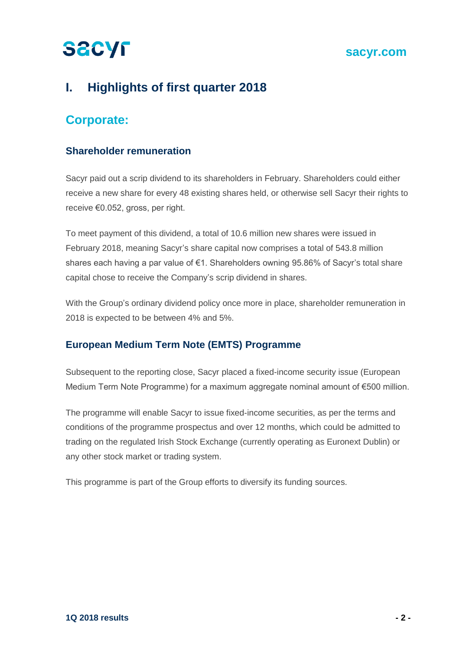### **sacyr.com**

## **I. Highlights of first quarter 2018**

## **Corporate:**

### **Shareholder remuneration**

Sacyr paid out a scrip dividend to its shareholders in February. Shareholders could either receive a new share for every 48 existing shares held, or otherwise sell Sacyr their rights to receive €0.052, gross, per right.

To meet payment of this dividend, a total of 10.6 million new shares were issued in February 2018, meaning Sacyr's share capital now comprises a total of 543.8 million shares each having a par value of €1. Shareholders owning 95.86% of Sacyr's total share capital chose to receive the Company's scrip dividend in shares.

With the Group's ordinary dividend policy once more in place, shareholder remuneration in 2018 is expected to be between 4% and 5%.

### **European Medium Term Note (EMTS) Programme**

Subsequent to the reporting close, Sacyr placed a fixed-income security issue (European Medium Term Note Programme) for a maximum aggregate nominal amount of €500 million.

The programme will enable Sacyr to issue fixed-income securities, as per the terms and conditions of the programme prospectus and over 12 months, which could be admitted to trading on the regulated Irish Stock Exchange (currently operating as Euronext Dublin) or any other stock market or trading system.

This programme is part of the Group efforts to diversify its funding sources.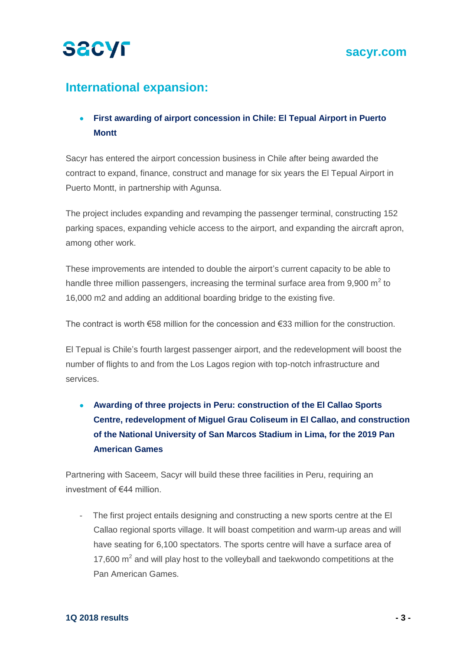

## **International expansion:**

## **First awarding of airport concession in Chile: El Tepual Airport in Puerto Montt**

Sacyr has entered the airport concession business in Chile after being awarded the contract to expand, finance, construct and manage for six years the El Tepual Airport in Puerto Montt, in partnership with Agunsa.

The project includes expanding and revamping the passenger terminal, constructing 152 parking spaces, expanding vehicle access to the airport, and expanding the aircraft apron, among other work.

These improvements are intended to double the airport's current capacity to be able to handle three million passengers, increasing the terminal surface area from 9,900  $m^2$  to 16,000 m2 and adding an additional boarding bridge to the existing five.

The contract is worth €58 million for the concession and €33 million for the construction.

El Tepual is Chile's fourth largest passenger airport, and the redevelopment will boost the number of flights to and from the Los Lagos region with top-notch infrastructure and services.

 **Awarding of three projects in Peru: construction of the El Callao Sports Centre, redevelopment of Miguel Grau Coliseum in El Callao, and construction of the National University of San Marcos Stadium in Lima, for the 2019 Pan American Games**

Partnering with Saceem, Sacyr will build these three facilities in Peru, requiring an investment of €44 million.

- The first project entails designing and constructing a new sports centre at the El Callao regional sports village. It will boast competition and warm-up areas and will have seating for 6,100 spectators. The sports centre will have a surface area of 17,600  $\text{m}^2$  and will play host to the volleyball and taekwondo competitions at the Pan American Games.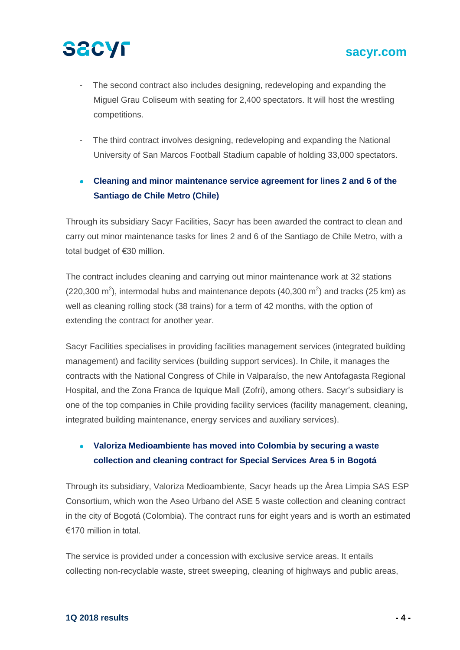- The second contract also includes designing, redeveloping and expanding the Miguel Grau Coliseum with seating for 2,400 spectators. It will host the wrestling competitions.
- The third contract involves designing, redeveloping and expanding the National University of San Marcos Football Stadium capable of holding 33,000 spectators.

## **Cleaning and minor maintenance service agreement for lines 2 and 6 of the Santiago de Chile Metro (Chile)**

Through its subsidiary Sacyr Facilities, Sacyr has been awarded the contract to clean and carry out minor maintenance tasks for lines 2 and 6 of the Santiago de Chile Metro, with a total budget of €30 million.

The contract includes cleaning and carrying out minor maintenance work at 32 stations  $(220,300 \text{ m}^2)$ , intermodal hubs and maintenance depots  $(40,300 \text{ m}^2)$  and tracks  $(25 \text{ km})$  as well as cleaning rolling stock (38 trains) for a term of 42 months, with the option of extending the contract for another year.

Sacyr Facilities specialises in providing facilities management services (integrated building management) and facility services (building support services). In Chile, it manages the contracts with the National Congress of Chile in Valparaíso, the new Antofagasta Regional Hospital, and the Zona Franca de Iquique Mall (Zofri), among others. Sacyr's subsidiary is one of the top companies in Chile providing facility services (facility management, cleaning, integrated building maintenance, energy services and auxiliary services).

## **Valoriza Medioambiente has moved into Colombia by securing a waste collection and cleaning contract for Special Services Area 5 in Bogotá**

Through its subsidiary, Valoriza Medioambiente, Sacyr heads up the Área Limpia SAS ESP Consortium, which won the Aseo Urbano del ASE 5 waste collection and cleaning contract in the city of Bogotá (Colombia). The contract runs for eight years and is worth an estimated €170 million in total.

The service is provided under a concession with exclusive service areas. It entails collecting non-recyclable waste, street sweeping, cleaning of highways and public areas,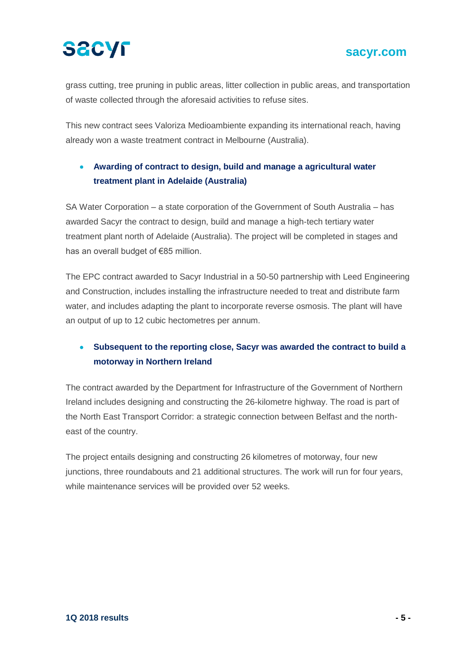# **SACYF**

## **sacyr.com**

grass cutting, tree pruning in public areas, litter collection in public areas, and transportation of waste collected through the aforesaid activities to refuse sites.

This new contract sees Valoriza Medioambiente expanding its international reach, having already won a waste treatment contract in Melbourne (Australia).

## **Awarding of contract to design, build and manage a agricultural water treatment plant in Adelaide (Australia)**

SA Water Corporation – a state corporation of the Government of South Australia – has awarded Sacyr the contract to design, build and manage a high-tech tertiary water treatment plant north of Adelaide (Australia). The project will be completed in stages and has an overall budget of €85 million.

The EPC contract awarded to Sacyr Industrial in a 50-50 partnership with Leed Engineering and Construction, includes installing the infrastructure needed to treat and distribute farm water, and includes adapting the plant to incorporate reverse osmosis. The plant will have an output of up to 12 cubic hectometres per annum.

## **Subsequent to the reporting close, Sacyr was awarded the contract to build a motorway in Northern Ireland**

The contract awarded by the Department for Infrastructure of the Government of Northern Ireland includes designing and constructing the 26-kilometre highway. The road is part of the North East Transport Corridor: a strategic connection between Belfast and the northeast of the country.

The project entails designing and constructing 26 kilometres of motorway, four new junctions, three roundabouts and 21 additional structures. The work will run for four years, while maintenance services will be provided over 52 weeks.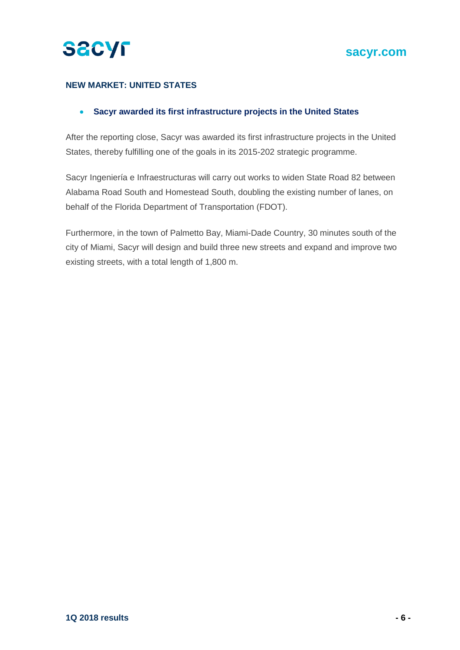

#### **NEW MARKET: UNITED STATES**

#### **Sacyr awarded its first infrastructure projects in the United States**

After the reporting close, Sacyr was awarded its first infrastructure projects in the United States, thereby fulfilling one of the goals in its 2015-202 strategic programme.

Sacyr Ingeniería e Infraestructuras will carry out works to widen State Road 82 between Alabama Road South and Homestead South, doubling the existing number of lanes, on behalf of the Florida Department of Transportation (FDOT).

Furthermore, in the town of Palmetto Bay, Miami-Dade Country, 30 minutes south of the city of Miami, Sacyr will design and build three new streets and expand and improve two existing streets, with a total length of 1,800 m.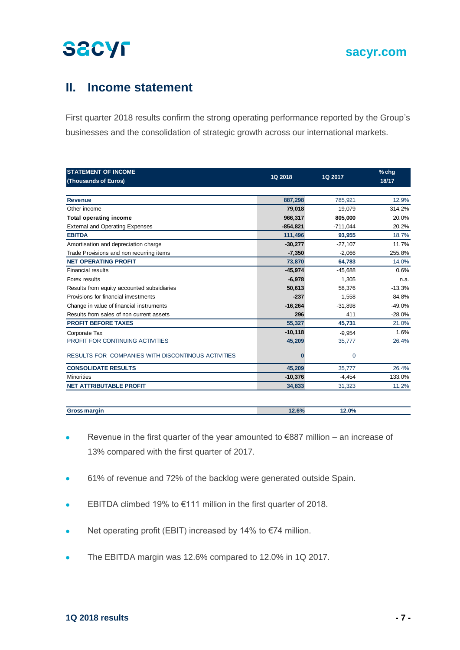## **II. Income statement**

First quarter 2018 results confirm the strong operating performance reported by the Group's businesses and the consolidation of strategic growth across our international markets.

| <b>STATEMENT OF INCOME</b><br>(Thousands of Euros) | 1Q 2018     | 1Q 2017     | $%$ chg<br>18/17 |
|----------------------------------------------------|-------------|-------------|------------------|
|                                                    |             |             |                  |
| <b>Revenue</b>                                     | 887,298     | 785,921     | 12.9%            |
| Other income                                       | 79,018      | 19,079      | 314.2%           |
| <b>Total operating income</b>                      | 966,317     | 805,000     | 20.0%            |
| <b>External and Operating Expenses</b>             | $-854, 821$ | $-711,044$  | 20.2%            |
| <b>EBITDA</b>                                      | 111,496     | 93,955      | 18.7%            |
| Amortisation and depreciation charge               | $-30,277$   | $-27,107$   | 11.7%            |
| Trade Provisions and non recurring items           | $-7,350$    | $-2,066$    | 255.8%           |
| <b>NET OPERATING PROFIT</b>                        | 73,870      | 64,783      | 14.0%            |
| <b>Financial results</b>                           | $-45,974$   | $-45,688$   | 0.6%             |
| Forex results                                      | $-6,978$    | 1,305       | n.a.             |
| Results from equity accounted subsidiaries         | 50,613      | 58,376      | $-13.3%$         |
| Provisions for financial investments               | $-237$      | $-1,558$    | $-84.8%$         |
| Change in value of financial instruments           | $-16,264$   | $-31,898$   | $-49.0%$         |
| Results from sales of non current assets           | 296         | 411         | $-28.0%$         |
| <b>PROFIT BEFORE TAXES</b>                         | 55,327      | 45,731      | 21.0%            |
| Corporate Tax                                      | $-10, 118$  | $-9.954$    | 1.6%             |
| PROFIT FOR CONTINUING ACTIVITIES                   | 45,209      | 35,777      | 26.4%            |
| RESULTS FOR COMPANIES WITH DISCONTINOUS ACTIVITIES | $\Omega$    | $\mathbf 0$ |                  |
| <b>CONSOLIDATE RESULTS</b>                         | 45,209      | 35,777      | 26.4%            |
| <b>Minorities</b>                                  | $-10,376$   | $-4,454$    | 133.0%           |
| <b>NET ATTRIBUTABLE PROFIT</b>                     | 34,833      | 31,323      | 11.2%            |

| Gro | 0.001 | 0 <sup>0</sup><br>. .<br>. |  |
|-----|-------|----------------------------|--|
|     |       |                            |  |

- Revenue in the first quarter of the year amounted to €887 million an increase of 13% compared with the first quarter of 2017.
- 61% of revenue and 72% of the backlog were generated outside Spain.
- EBITDA climbed 19% to €111 million in the first quarter of 2018.
- Net operating profit (EBIT) increased by 14% to  $\epsilon$ 74 million.
- The EBITDA margin was 12.6% compared to 12.0% in 1Q 2017.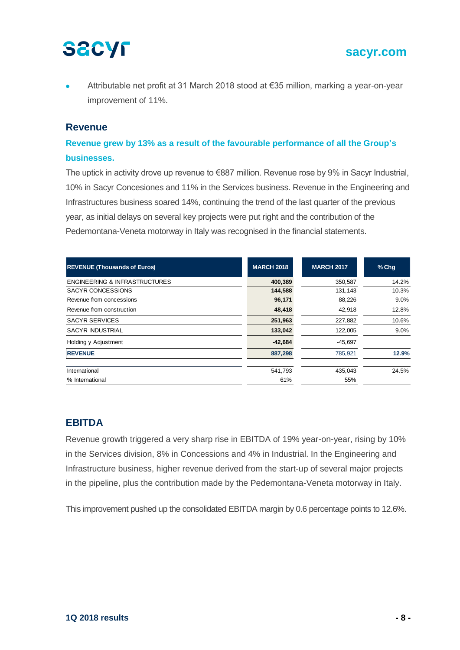Attributable net profit at 31 March 2018 stood at €35 million, marking a year-on-year improvement of 11%.

#### **Revenue**

### **Revenue grew by 13% as a result of the favourable performance of all the Group's businesses.**

The uptick in activity drove up revenue to €887 million. Revenue rose by 9% in Sacyr Industrial, 10% in Sacyr Concesiones and 11% in the Services business. Revenue in the Engineering and Infrastructures business soared 14%, continuing the trend of the last quarter of the previous year, as initial delays on several key projects were put right and the contribution of the Pedemontana-Veneta motorway in Italy was recognised in the financial statements.

| <b>REVENUE (Thousands of Euros)</b>      | <b>MARCH 2018</b> | <b>MARCH 2017</b> | $%$ Chq |
|------------------------------------------|-------------------|-------------------|---------|
| <b>ENGINEERING &amp; INFRASTRUCTURES</b> | 400,389           | 350,587           | 14.2%   |
| SACYR CONCESSIONS                        | 144,588           | 131,143           | 10.3%   |
| Revenue from concessions                 | 96,171            | 88,226            | $9.0\%$ |
| Revenue from construction                | 48,418            | 42,918            | 12.8%   |
| <b>SACYR SERVICES</b>                    | 251,963           | 227,882           | 10.6%   |
| <b>SACYR INDUSTRIAL</b>                  | 133,042           | 122,005           | 9.0%    |
| Holding y Adjustment                     | $-42,684$         | $-45.697$         |         |
| <b>REVENUE</b>                           | 887,298           | 785,921           | 12.9%   |
| International                            | 541,793           | 435.043           | 24.5%   |
| % International                          | 61%               | 55%               |         |

### **EBITDA**

Revenue growth triggered a very sharp rise in EBITDA of 19% year-on-year, rising by 10% in the Services division, 8% in Concessions and 4% in Industrial. In the Engineering and Infrastructure business, higher revenue derived from the start-up of several major projects in the pipeline, plus the contribution made by the Pedemontana-Veneta motorway in Italy.

This improvement pushed up the consolidated EBITDA margin by 0.6 percentage points to 12.6%.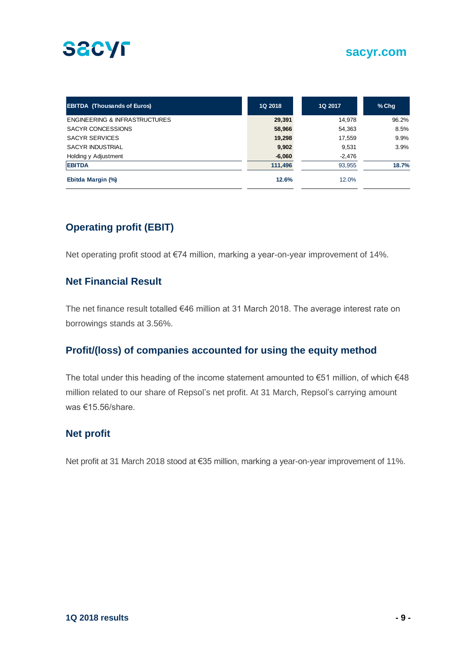

| <b>EBITDA (Thousands of Euros)</b>       | <b>1Q 2018</b> | 1Q 2017  | $%$ Chg |
|------------------------------------------|----------------|----------|---------|
| <b>ENGINEERING &amp; INFRASTRUCTURES</b> | 29,391         | 14.978   | 96.2%   |
| SACYR CONCESSIONS                        | 58,966         | 54,363   | 8.5%    |
| <b>SACYR SERVICES</b>                    | 19,298         | 17,559   | 9.9%    |
| <b>SACYR INDUSTRIAL</b>                  | 9,902          | 9.531    | 3.9%    |
| Holding y Adjustment                     | $-6,060$       | $-2,476$ |         |
| <b>EBITDA</b>                            | 111,496        | 93,955   | 18.7%   |
| Ebitda Margin (%)                        | 12.6%          | 12.0%    |         |

## **Operating profit (EBIT)**

Net operating profit stood at €74 million, marking a year-on-year improvement of 14%.

### **Net Financial Result**

The net finance result totalled €46 million at 31 March 2018. The average interest rate on borrowings stands at 3.56%.

#### **Profit/(loss) of companies accounted for using the equity method**

The total under this heading of the income statement amounted to €51 million, of which €48 million related to our share of Repsol's net profit. At 31 March, Repsol's carrying amount was €15.56/share.

#### **Net profit**

Net profit at 31 March 2018 stood at €35 million, marking a year-on-year improvement of 11%.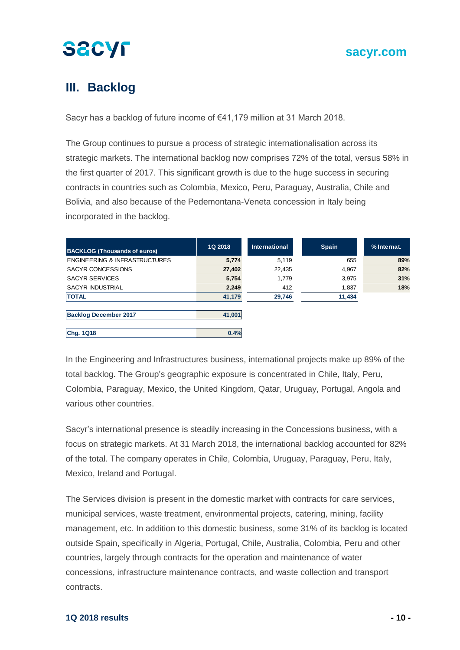## **III. Backlog**

Sacyr has a backlog of future income of €41,179 million at 31 March 2018.

The Group continues to pursue a process of strategic internationalisation across its strategic markets. The international backlog now comprises 72% of the total, versus 58% in the first quarter of 2017. This significant growth is due to the huge success in securing contracts in countries such as Colombia, Mexico, Peru, Paraguay, Australia, Chile and Bolivia, and also because of the Pedemontana-Veneta concession in Italy being incorporated in the backlog.

| <b>BACKLOG (Thousands of euros)</b>      | 1Q 2018 | <b>International</b> | <b>Spain</b> | % Internat. |
|------------------------------------------|---------|----------------------|--------------|-------------|
| <b>ENGINEERING &amp; INFRASTRUCTURES</b> | 5,774   | 5,119                | 655          | 89%         |
| <b>SACYR CONCESSIONS</b>                 | 27,402  | 22,435               | 4,967        | 82%         |
| <b>SACYR SERVICES</b>                    | 5,754   | 1,779                | 3,975        | 31%         |
| <b>SACYR INDUSTRIAL</b>                  | 2,249   | 412                  | 1,837        | 18%         |
| <b>TOTAL</b>                             | 41,179  | 29,746               | 11,434       |             |
|                                          |         |                      |              |             |
| <b>Backlog December 2017</b>             | 41,001  |                      |              |             |
|                                          |         |                      |              |             |
| Chg. 1Q18                                | 0.4%    |                      |              |             |

In the Engineering and Infrastructures business, international projects make up 89% of the total backlog. The Group's geographic exposure is concentrated in Chile, Italy, Peru, Colombia, Paraguay, Mexico, the United Kingdom, Qatar, Uruguay, Portugal, Angola and various other countries.

Sacyr's international presence is steadily increasing in the Concessions business, with a focus on strategic markets. At 31 March 2018, the international backlog accounted for 82% of the total. The company operates in Chile, Colombia, Uruguay, Paraguay, Peru, Italy, Mexico, Ireland and Portugal.

The Services division is present in the domestic market with contracts for care services, municipal services, waste treatment, environmental projects, catering, mining, facility management, etc. In addition to this domestic business, some 31% of its backlog is located outside Spain, specifically in Algeria, Portugal, Chile, Australia, Colombia, Peru and other countries, largely through contracts for the operation and maintenance of water concessions, infrastructure maintenance contracts, and waste collection and transport contracts.

#### **1Q 2018 results - 10 -**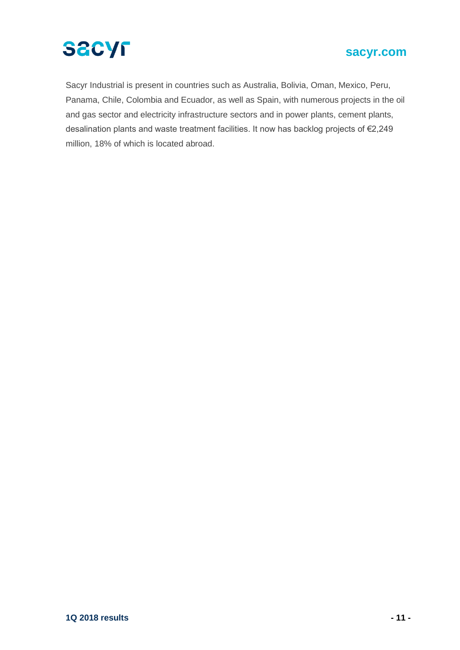

### **sacyr.com**

Sacyr Industrial is present in countries such as Australia, Bolivia, Oman, Mexico, Peru, Panama, Chile, Colombia and Ecuador, as well as Spain, with numerous projects in the oil and gas sector and electricity infrastructure sectors and in power plants, cement plants, desalination plants and waste treatment facilities. It now has backlog projects of €2,249 million, 18% of which is located abroad.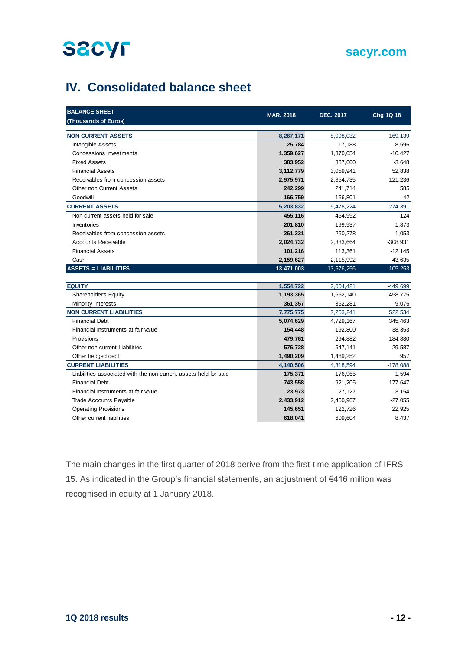### **sacyr.com**

## **IV. Consolidated balance sheet**

| <b>BALANCE SHEET</b>                                             | <b>MAR. 2018</b> | <b>DEC. 2017</b> | Chg 1Q 18  |
|------------------------------------------------------------------|------------------|------------------|------------|
| (Thousands of Euros)                                             |                  |                  |            |
| <b>NON CURRENT ASSETS</b>                                        | 8,267,171        | 8,098,032        | 169.139    |
| <b>Intangible Assets</b>                                         | 25,784           | 17,188           | 8,596      |
| Concessions Investments                                          | 1,359,627        | 1,370,054        | $-10,427$  |
| <b>Fixed Assets</b>                                              | 383,952          | 387,600          | $-3,648$   |
| <b>Financial Assets</b>                                          | 3,112,779        | 3,059,941        | 52,838     |
| Receivables from concession assets                               | 2,975,971        | 2,854,735        | 121,236    |
| <b>Other non Current Assets</b>                                  | 242,299          | 241,714          | 585        |
| Goodwill                                                         | 166,759          | 166,801          | $-42$      |
| <b>CURRENT ASSETS</b>                                            | 5,203,832        | 5,478,224        | $-274,391$ |
| Non current assets held for sale                                 | 455,116          | 454,992          | 124        |
| Inventories                                                      | 201,810          | 199,937          | 1,873      |
| Receivables from concession assets                               | 261,331          | 260,278          | 1,053      |
| <b>Accounts Receivable</b>                                       | 2,024,732        | 2,333,664        | $-308,931$ |
| <b>Financial Assets</b>                                          | 101,216          | 113,361          | $-12,145$  |
| Cash                                                             | 2,159,627        | 2,115,992        | 43,635     |
| <b>ASSETS = LIABILITIES</b>                                      | 13,471,003       | 13,576,256       | $-105,253$ |
|                                                                  |                  |                  |            |
| <b>EQUITY</b>                                                    | 1,554,722        | 2,004,421        | $-449,699$ |
| Shareholder's Equity                                             | 1,193,365        | 1,652,140        | $-458,775$ |
| Minority Interests                                               | 361,357          | 352,281          | 9,076      |
| <b>NON CURRENT LIABILITIES</b>                                   | 7,775,775        | 7,253,241        | 522,534    |
| <b>Financial Debt</b>                                            | 5,074,629        | 4,729,167        | 345,463    |
| Financial Instruments at fair value                              | 154,448          | 192,800          | $-38,353$  |
| Provisions                                                       | 479,761          | 294,882          | 184,880    |
| Other non current Liabilities                                    | 576,728          | 547,141          | 29,587     |
| Other hedged debt                                                | 1,490,209        | 1,489,252        | 957        |
| <b>CURRENT LIABILITIES</b>                                       | 4,140,506        | 4,318,594        | $-178,088$ |
| Liabilities associated with the non current assets held for sale | 175,371          | 176,965          | $-1,594$   |
| <b>Financial Debt</b>                                            | 743,558          | 921,205          | $-177,647$ |
| Financial Instruments at fair value                              | 23,973           | 27,127           | $-3,154$   |
| <b>Trade Accounts Payable</b>                                    | 2,433,912        | 2,460,967        | $-27,055$  |
| <b>Operating Provisions</b>                                      | 145,651          | 122,726          | 22,925     |
| Other current liabilities                                        | 618,041          | 609,604          | 8,437      |

The main changes in the first quarter of 2018 derive from the first-time application of IFRS 15. As indicated in the Group's financial statements, an adjustment of €416 million was recognised in equity at 1 January 2018.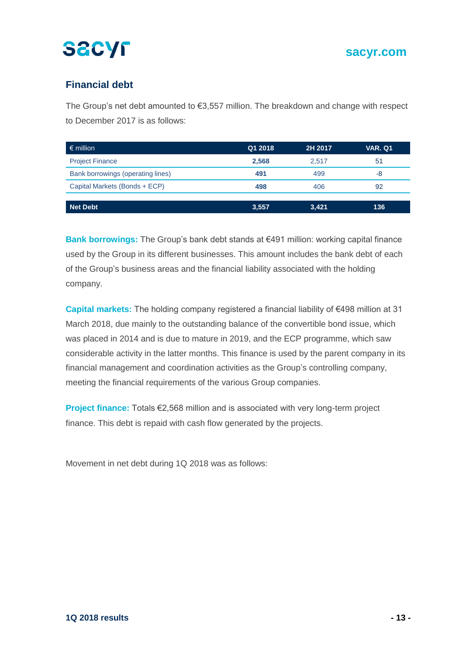## **Financial debt**

The Group's net debt amounted to €3,557 million. The breakdown and change with respect to December 2017 is as follows:

| $\epsilon$ million                | Q1 2018 | 2H 2017 | <b>VAR. Q1</b> |
|-----------------------------------|---------|---------|----------------|
| <b>Project Finance</b>            | 2,568   | 2.517   | 51             |
| Bank borrowings (operating lines) | 491     | 499     | -8             |
| Capital Markets (Bonds + ECP)     | 498     | 406     | 92             |
|                                   |         |         |                |
| <b>Net Debt</b>                   | 3,557   | 3,421   | 136            |

**Bank borrowings:** The Group's bank debt stands at €491 million: working capital finance used by the Group in its different businesses. This amount includes the bank debt of each of the Group's business areas and the financial liability associated with the holding company.

**Capital markets:** The holding company registered a financial liability of €498 million at 31 March 2018, due mainly to the outstanding balance of the convertible bond issue, which was placed in 2014 and is due to mature in 2019, and the ECP programme, which saw considerable activity in the latter months. This finance is used by the parent company in its financial management and coordination activities as the Group's controlling company, meeting the financial requirements of the various Group companies.

**Project finance:** Totals €2,568 million and is associated with very long-term project finance. This debt is repaid with cash flow generated by the projects.

Movement in net debt during 1Q 2018 was as follows: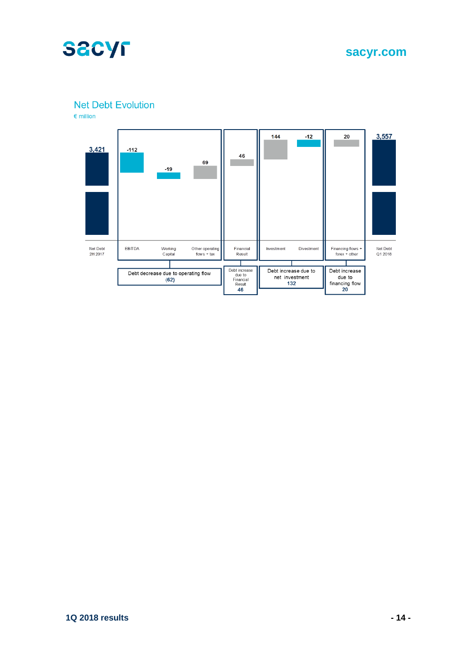

**sacyr.com**

**Net Debt Evolution** 

 $\epsilon$  million

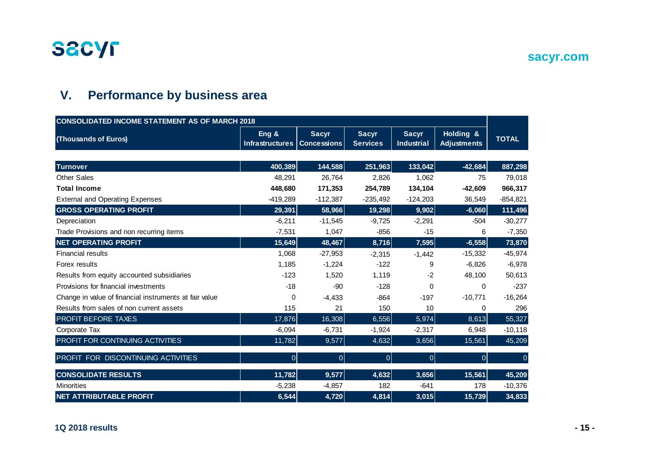

## **sacyr.com**

## **V. Performance by business area**

| <b>CONSOLIDATED INCOME STATEMENT AS OF MARCH 2018</b>  |                                 |                                    |                                 |                                   |                                 |              |
|--------------------------------------------------------|---------------------------------|------------------------------------|---------------------------------|-----------------------------------|---------------------------------|--------------|
| (Thousands of Euros)                                   | Eng &<br><b>Infrastructures</b> | <b>Sacyr</b><br><b>Concessions</b> | <b>Sacyr</b><br><b>Services</b> | <b>Sacyr</b><br><b>Industrial</b> | Holding &<br><b>Adjustments</b> | <b>TOTAL</b> |
|                                                        |                                 |                                    |                                 |                                   |                                 |              |
| <b>Turnover</b>                                        | 400,389                         | 144,588                            | 251,963                         | 133,042                           | $-42,684$                       | 887,298      |
| <b>Other Sales</b>                                     | 48,291                          | 26,764                             | 2,826                           | 1,062                             | 75                              | 79,018       |
| <b>Total Income</b>                                    | 448,680                         | 171,353                            | 254,789                         | 134,104                           | $-42,609$                       | 966,317      |
| <b>External and Operating Expenses</b>                 | $-419,289$                      | $-112,387$                         | $-235,492$                      | $-124,203$                        | 36,549                          | $-854, 821$  |
| <b>GROSS OPERATING PROFIT</b>                          | 29,391                          | 58,966                             | 19,298                          | 9,902                             | $-6,060$                        | 111,496      |
| Depreciation                                           | $-6,211$                        | $-11,545$                          | $-9,725$                        | $-2,291$                          | $-504$                          | $-30,277$    |
| Trade Provisions and non recurring items               | $-7,531$                        | 1,047                              | $-856$                          | $-15$                             | 6                               | $-7,350$     |
| <b>NET OPERATING PROFIT</b>                            | 15,649                          | 48,467                             | 8,716                           | 7,595                             | $-6,558$                        | 73,870       |
| <b>Financial results</b>                               | 1,068                           | $-27,953$                          | $-2,315$                        | $-1,442$                          | $-15,332$                       | $-45,974$    |
| Forex results                                          | 1,185                           | $-1,224$                           | $-122$                          | 9                                 | $-6,826$                        | $-6,978$     |
| Results from equity accounted subsidiaries             | $-123$                          | 1,520                              | 1,119                           | $-2$                              | 48,100                          | 50,613       |
| Provisions for financial investments                   | $-18$                           | $-90$                              | $-128$                          | $\mathbf 0$                       | $\Omega$                        | $-237$       |
| Change in value of financial instruments at fair value | 0                               | $-4,433$                           | $-864$                          | $-197$                            | $-10,771$                       | $-16,264$    |
| Results from sales of non current assets               | 115                             | 21                                 | 150                             | 10                                | 0                               | 296          |
| <b>PROFIT BEFORE TAXES</b>                             | 17,876                          | 16,308                             | 6,556                           | 5,974                             | 8,613                           | 55,327       |
| Corporate Tax                                          | $-6,094$                        | $-6,731$                           | $-1,924$                        | $-2,317$                          | 6,948                           | $-10,118$    |
| PROFIT FOR CONTINUING ACTIVITIES                       | 11,782                          | 9,577                              | 4,632                           | 3,656                             | 15,561                          | 45,209       |
| PROFIT FOR DISCONTINUING ACTIVITIES                    | $\overline{0}$                  | 0                                  | 0                               | $\overline{0}$                    | $\overline{0}$                  | $\mathbf 0$  |
| <b>CONSOLIDATE RESULTS</b>                             | 11,782                          | 9,577                              | 4,632                           | 3,656                             | 15,561                          | 45,209       |
| <b>Minorities</b>                                      | $-5,238$                        | $-4,857$                           | 182                             | $-641$                            | 178                             | $-10,376$    |
| <b>NET ATTRIBUTABLE PROFIT</b>                         | 6,544                           | 4,720                              | 4,814                           | 3,015                             | 15,739                          | 34,833       |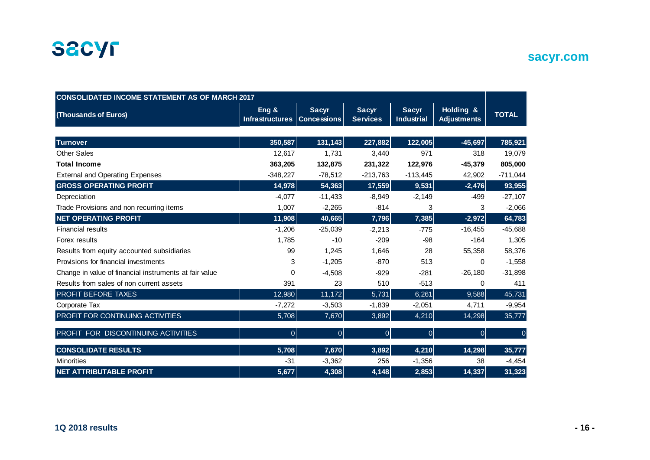

| <b>CONSOLIDATED INCOME STATEMENT AS OF MARCH 2017</b>  |                          |                                    |                                 |                                   |                                 |                |
|--------------------------------------------------------|--------------------------|------------------------------------|---------------------------------|-----------------------------------|---------------------------------|----------------|
| (Thousands of Euros)                                   | Eng &<br>Infrastructures | <b>Sacyr</b><br><b>Concessions</b> | <b>Sacyr</b><br><b>Services</b> | <b>Sacyr</b><br><b>Industrial</b> | Holding &<br><b>Adjustments</b> | <b>TOTAL</b>   |
|                                                        |                          |                                    |                                 |                                   |                                 |                |
| <b>Turnover</b>                                        | 350,587                  | 131,143                            | 227,882                         | 122,005                           | $-45,697$                       | 785,921        |
| <b>Other Sales</b>                                     | 12,617                   | 1,731                              | 3,440                           | 971                               | 318                             | 19,079         |
| <b>Total Income</b>                                    | 363,205                  | 132,875                            | 231,322                         | 122,976                           | $-45,379$                       | 805,000        |
| <b>External and Operating Expenses</b>                 | $-348,227$               | $-78,512$                          | $-213,763$                      | $-113,445$                        | 42,902                          | $-711,044$     |
| <b>GROSS OPERATING PROFIT</b>                          | 14,978                   | 54,363                             | 17,559                          | 9,531                             | $-2,476$                        | 93,955         |
| Depreciation                                           | $-4,077$                 | $-11,433$                          | $-8,949$                        | $-2,149$                          | $-499$                          | $-27,107$      |
| Trade Provisions and non recurring items               | 1,007                    | $-2,265$                           | $-814$                          | 3                                 | 3                               | $-2,066$       |
| <b>NET OPERATING PROFIT</b>                            | 11,908                   | 40,665                             | 7,796                           | 7,385                             | $-2,972$                        | 64,783         |
| <b>Financial results</b>                               | $-1,206$                 | $-25,039$                          | $-2,213$                        | $-775$                            | $-16,455$                       | $-45,688$      |
| Forex results                                          | 1,785                    | $-10$                              | $-209$                          | -98                               | $-164$                          | 1,305          |
| Results from equity accounted subsidiaries             | 99                       | 1,245                              | 1,646                           | 28                                | 55,358                          | 58,376         |
| Provisions for financial investments                   | 3                        | $-1,205$                           | $-870$                          | 513                               | $\Omega$                        | $-1,558$       |
| Change in value of financial instruments at fair value | 0                        | $-4,508$                           | $-929$                          | $-281$                            | $-26,180$                       | $-31,898$      |
| Results from sales of non current assets               | 391                      | 23                                 | 510                             | $-513$                            | 0                               | 411            |
| <b>PROFIT BEFORE TAXES</b>                             | 12,980                   | 11,172                             | 5,731                           | 6,261                             | 9,588                           | 45,731         |
| Corporate Tax                                          | $-7,272$                 | $-3,503$                           | $-1,839$                        | $-2,051$                          | 4,711                           | $-9,954$       |
| PROFIT FOR CONTINUING ACTIVITIES                       | 5,708                    | 7,670                              | 3,892                           | 4,210                             | 14,298                          | 35,777         |
| PROFIT FOR DISCONTINUING ACTIVITIES                    | $\overline{0}$           | $\overline{0}$                     | 0                               | $\overline{0}$                    | 0                               | $\overline{0}$ |
| <b>CONSOLIDATE RESULTS</b>                             | 5,708                    | 7,670                              | 3,892                           | 4,210                             | 14,298                          | 35,777         |
| <b>Minorities</b>                                      | $-31$                    | $-3,362$                           | 256                             | $-1,356$                          | 38                              | $-4,454$       |
| <b>NET ATTRIBUTABLE PROFIT</b>                         | 5,677                    | 4,308                              | 4,148                           | 2,853                             | 14,337                          | 31,323         |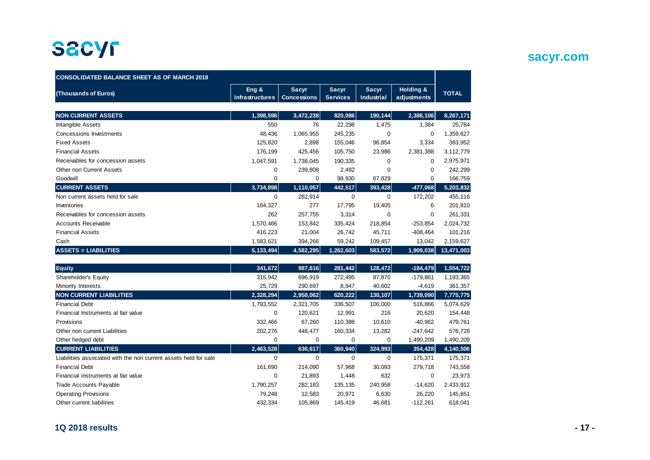| <b>CONSOLIDATED BALANCE SHEET AS OF MARCH 2018</b>               |                            |                                    |                                 |                                   |                          |              |
|------------------------------------------------------------------|----------------------------|------------------------------------|---------------------------------|-----------------------------------|--------------------------|--------------|
| (Thousands of Euros)                                             | Eng $8$<br>Infrastructures | <b>Sacyr</b><br><b>Concessions</b> | <b>Sacyr</b><br><b>Services</b> | <b>Sacyr</b><br><b>Industrial</b> | Holding &<br>adjustments | <b>TOTAL</b> |
|                                                                  |                            |                                    |                                 |                                   |                          |              |
| <b>NON CURRENT ASSETS</b>                                        | 1,398,596                  | 3,472,238                          | 820,086                         | 190,144                           | 2,386,106                | 8,267,171    |
| Intangible Assets                                                | 550                        | 76                                 | 22,298                          | 1,475                             | 1,384                    | 25,784       |
| Concessions Investments                                          | 48,436                     | 1,065,955                          | 245,235                         | 0                                 | 0                        | 1,359,627    |
| <b>Fixed Assets</b>                                              | 125,820                    | 2,898                              | 155,046                         | 96,854                            | 3,334                    | 383,952      |
| <b>Financial Assets</b>                                          | 176,199                    | 425,456                            | 105,750                         | 23,986                            | 2,381,388                | 3,112,779    |
| Receivables for concession assets                                | 1,047,591                  | 1,738,045                          | 190,335                         | 0                                 | 0                        | 2,975,971    |
| Other non Current Assets                                         | 0                          | 239,808                            | 2,492                           | $\Omega$                          | 0                        | 242,299      |
| Goodwill                                                         | 0                          | 0                                  | 98,930                          | 67,829                            | 0                        | 166,759      |
| <b>CURRENT ASSETS</b>                                            | 3,734,898                  | 1,110,057                          | 442,517                         | 393,428                           | $-477,068$               | 5,203,832    |
| Non current assets held for sale                                 | $\Omega$                   | 282,914                            | $\Omega$                        | $\Omega$                          | 172,202                  | 455,116      |
| Inventories                                                      | 164,327                    | 277                                | 17,795                          | 19,405                            | 6                        | 201,810      |
| Receivables for concession assets                                | 262                        | 257,755                            | 3,314                           | 0                                 | 0                        | 261,331      |
| Accounts Receivable                                              | 1,570,466                  | 153,842                            | 335,424                         | 218,854                           | $-253,854$               | 2,024,732    |
| <b>Financial Assets</b>                                          | 416,223                    | 21,004                             | 26.742                          | 45,711                            | $-408, 464$              | 101,216      |
| Cash                                                             | 1,583,621                  | 394,266                            | 59,242                          | 109,457                           | 13,042                   | 2,159,627    |
| <b>ASSETS = LIABILITIES</b>                                      | 5,133,494                  | 4,582,295                          | 1,262,603                       | 583,572                           | 1,909,038                | 13,471,003   |
| <b>Equity</b>                                                    | 341,672                    | 987,616                            | 281,442                         | 128,472                           | $-184,479$               | 1,554,722    |
| Shareholder's Equity                                             | 315,942                    | 696,919                            | 272,495                         | 87,870                            | $-179,861$               | 1,193,365    |
| Minority Interests                                               | 25,729                     | 290,697                            | 8,947                           | 40,602                            | $-4,619$                 | 361,357      |
| <b>NON CURRENT LIABILITIES</b>                                   | 2,328,294                  | 2,958,062                          | 620,222                         | 130,107                           | 1,739,090                | 7,775,775    |
| <b>Financial Debt</b>                                            | 1,793,552                  | 2,321,705                          | 336,507                         | 106,000                           | 516,866                  | 5,074,629    |
| Financial Instruments at fair value                              | 0                          | 120,621                            | 12,991                          | 216                               | 20,620                   | 154,448      |
| Provisions                                                       | 332,466                    | 67,260                             | 110,388                         | 10,610                            | $-40,962$                | 479,761      |
| Other non current Liabilities                                    | 202,276                    | 448,477                            | 160,334                         | 13,282                            | $-247,642$               | 576,728      |
| Other hedged debt                                                | 0                          | 0                                  | 0                               | 0                                 | 1,490,209                | 1,490,209    |
| <b>CURRENT LIABILITIES</b>                                       | 2,463,528                  | 636,617                            | 360,940                         | 324,993                           | 354,428                  | 4,140,506    |
| Liabilities associated with the non current assets held for sale | $\mathbf 0$                | $\mathbf 0$                        | 0                               | 0                                 | 175,371                  | 175,371      |
| <b>Financial Debt</b>                                            | 161,690                    | 214.090                            | 57.968                          | 30,093                            | 279,718                  | 743,558      |

Financial instruments at fair value 0 21,893 1,448 632 0 23,973 Trade Accounts Payable 2,433,912 Operating Provisions 79,248 12,583 20,971 6,630 26,220 145,651 Other current liabilities 432,334 105,869 145,419 46,681 -112,261 618,041

## **sacyr.com**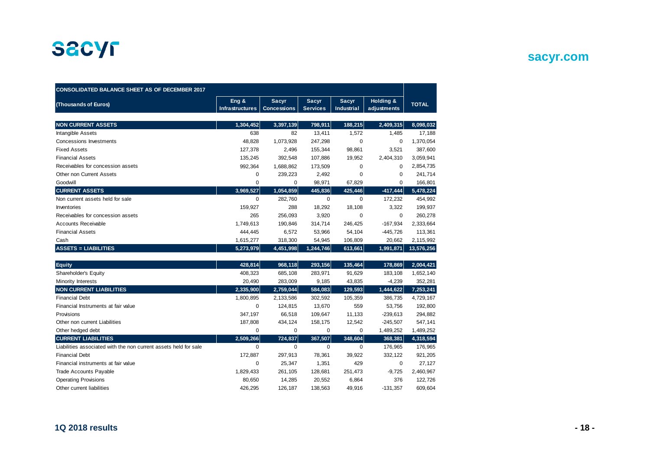

## **sacyr.com**

| <b>CONSOLIDATED BALANCE SHEET AS OF DECEMBER 2017</b>            |                                 |                                    |                                 |                                   |                          |              |
|------------------------------------------------------------------|---------------------------------|------------------------------------|---------------------------------|-----------------------------------|--------------------------|--------------|
| (Thousands of Euros)                                             | Eng &<br><b>Infrastructures</b> | <b>Sacyr</b><br><b>Concessions</b> | <b>Sacyr</b><br><b>Services</b> | <b>Sacyr</b><br><b>Industrial</b> | Holding &<br>adjustments | <b>TOTAL</b> |
|                                                                  |                                 |                                    |                                 |                                   |                          |              |
| <b>NON CURRENT ASSETS</b>                                        | 1,304,452                       | 3,397,139                          | 798,911                         | 188,215                           | 2,409,315                | 8,098,032    |
| Intangible Assets                                                | 638                             | 82                                 | 13,411                          | 1,572                             | 1,485                    | 17,188       |
| Concessions Investments                                          | 48,828                          | 1,073,928                          | 247,298                         | 0                                 | $\mathbf 0$              | 1,370,054    |
| <b>Fixed Assets</b>                                              | 127,378                         | 2,496                              | 155,344                         | 98,861                            | 3,521                    | 387,600      |
| <b>Financial Assets</b>                                          | 135,245                         | 392,548                            | 107,886                         | 19,952                            | 2,404,310                | 3,059,941    |
| Receivables for concession assets                                | 992,364                         | 1,688,862                          | 173,509                         | 0                                 | $\mathbf 0$              | 2,854,735    |
| Other non Current Assets                                         | 0                               | 239,223                            | 2,492                           | 0                                 | 0                        | 241,714      |
| Goodwill                                                         | $\mathbf 0$                     | 0                                  | 98,971                          | 67,829                            | $\Omega$                 | 166,801      |
| <b>CURRENT ASSETS</b>                                            | 3,969,527                       | 1,054,859                          | 445,836                         | 425,446                           | $-417,444$               | 5,478,224    |
| Non current assets held for sale                                 | $\mathbf 0$                     | 282,760                            | $\mathbf 0$                     | 0                                 | 172,232                  | 454,992      |
| Inventories                                                      | 159,927                         | 288                                | 18,292                          | 18,108                            | 3,322                    | 199,937      |
| Receivables for concession assets                                | 265                             | 256,093                            | 3,920                           | 0                                 | $\mathbf 0$              | 260,278      |
| <b>Accounts Receivable</b>                                       | 1,749,613                       | 190,846                            | 314,714                         | 246,425                           | $-167,934$               | 2,333,664    |
| <b>Financial Assets</b>                                          | 444,445                         | 6,572                              | 53,966                          | 54,104                            | $-445,726$               | 113,361      |
| Cash                                                             | 1,615,277                       | 318,300                            | 54,945                          | 106,809                           | 20,662                   | 2,115,992    |
| <b>ASSETS = LIABILITIES</b>                                      | 5,273,979                       | 4,451,998                          | 1,244,746                       | 613,661                           | 1,991,871                | 13,576,256   |
|                                                                  |                                 |                                    |                                 |                                   |                          |              |
| <b>Equity</b>                                                    | 428,814                         | 968,118                            | 293,156                         | 135,464                           | 178,869                  | 2,004,421    |
| Shareholder's Equity                                             | 408,323                         | 685,108                            | 283,971                         | 91,629                            | 183,108                  | 1,652,140    |
| Minority Interests                                               | 20,490                          | 283,009                            | 9,185                           | 43,835                            | $-4,239$                 | 352,281      |
| <b>NON CURRENT LIABILITIES</b>                                   | 2,335,900                       | 2,759,044                          | 584,083                         | 129,593                           | 1,444,622                | 7,253,241    |
| <b>Financial Debt</b>                                            | 1,800,895                       | 2,133,586                          | 302,592                         | 105,359                           | 386,735                  | 4,729,167    |
| Financial Instruments at fair value                              | 0                               | 124,815                            | 13,670                          | 559                               | 53,756                   | 192,800      |
| Provisions                                                       | 347,197                         | 66,518                             | 109,647                         | 11,133                            | $-239,613$               | 294,882      |
| Other non current Liabilities                                    | 187,808                         | 434,124                            | 158,175                         | 12,542                            | $-245,507$               | 547,141      |
| Other hedged debt                                                | 0                               | 0                                  | 0                               | 0                                 | 1,489,252                | 1,489,252    |
| <b>CURRENT LIABILITIES</b>                                       | 2,509,266                       | 724,837                            | 367,507                         | 348,604                           | 368,381                  | 4,318,594    |
| Liabilities associated with the non current assets held for sale | $\mathbf 0$                     | $\mathbf 0$                        | 0                               | 0                                 | 176,965                  | 176,965      |
| <b>Financial Debt</b>                                            | 172,887                         | 297,913                            | 78,361                          | 39,922                            | 332,122                  | 921,205      |
| Financial instruments at fair value                              | 0                               | 25,347                             | 1,351                           | 429                               | $\mathbf 0$              | 27,127       |
| Trade Accounts Payable                                           | 1,829,433                       | 261,105                            | 128,681                         | 251,473                           | $-9,725$                 | 2,460,967    |
| <b>Operating Provisions</b>                                      | 80,650                          | 14,285                             | 20,552                          | 6,864                             | 376                      | 122,726      |
| Other current liabilities                                        | 426,295                         | 126,187                            | 138,563                         | 49,916                            | $-131,357$               | 609,604      |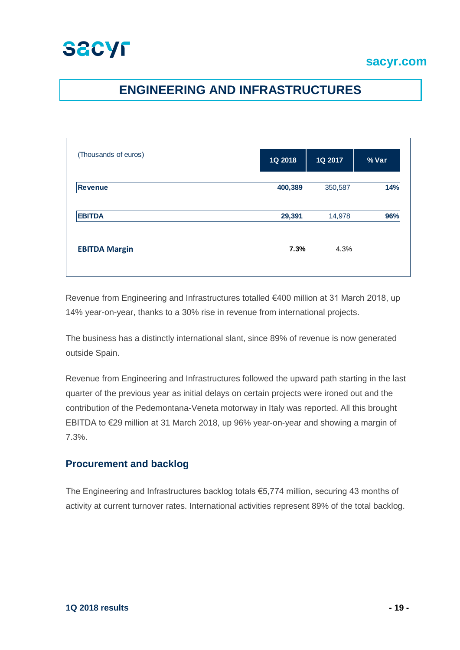## **ENGINEERING AND INFRASTRUCTURES**

| (Thousands of euros) | 1Q 2018 | 1Q 2017 | % Var |
|----------------------|---------|---------|-------|
| <b>Revenue</b>       | 400,389 | 350,587 | 14%   |
| <b>EBITDA</b>        | 29,391  | 14,978  | 96%   |
| <b>EBITDA Margin</b> | 7.3%    | 4.3%    |       |

Revenue from Engineering and Infrastructures totalled €400 million at 31 March 2018, up 14% year-on-year, thanks to a 30% rise in revenue from international projects.

The business has a distinctly international slant, since 89% of revenue is now generated outside Spain.

Revenue from Engineering and Infrastructures followed the upward path starting in the last quarter of the previous year as initial delays on certain projects were ironed out and the contribution of the Pedemontana-Veneta motorway in Italy was reported. All this brought EBITDA to €29 million at 31 March 2018, up 96% year-on-year and showing a margin of 7.3%.

### **Procurement and backlog**

The Engineering and Infrastructures backlog totals €5,774 million, securing 43 months of activity at current turnover rates. International activities represent 89% of the total backlog.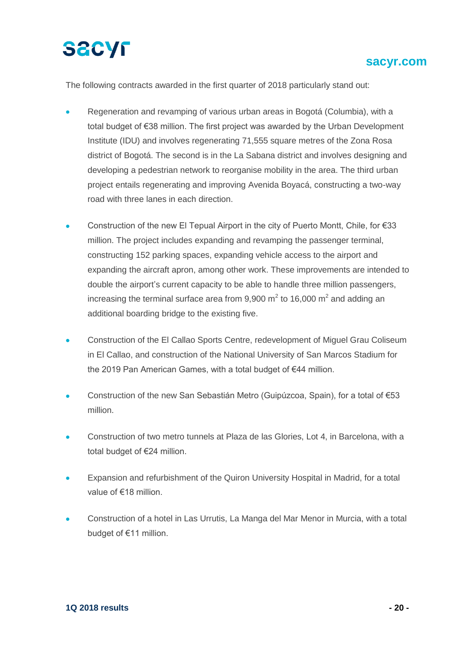The following contracts awarded in the first quarter of 2018 particularly stand out:

- Regeneration and revamping of various urban areas in Bogotá (Columbia), with a total budget of €38 million. The first project was awarded by the Urban Development Institute (IDU) and involves regenerating 71,555 square metres of the Zona Rosa district of Bogotá. The second is in the La Sabana district and involves designing and developing a pedestrian network to reorganise mobility in the area. The third urban project entails regenerating and improving Avenida Boyacá, constructing a two-way road with three lanes in each direction.
- Construction of the new El Tepual Airport in the city of Puerto Montt, Chile, for €33 million. The project includes expanding and revamping the passenger terminal, constructing 152 parking spaces, expanding vehicle access to the airport and expanding the aircraft apron, among other work. These improvements are intended to double the airport's current capacity to be able to handle three million passengers, increasing the terminal surface area from 9,900 m<sup>2</sup> to 16,000 m<sup>2</sup> and adding an additional boarding bridge to the existing five.
- Construction of the El Callao Sports Centre, redevelopment of Miguel Grau Coliseum in El Callao, and construction of the National University of San Marcos Stadium for the 2019 Pan American Games, with a total budget of €44 million.
- Construction of the new San Sebastián Metro (Guipúzcoa, Spain), for a total of €53 million.
- Construction of two metro tunnels at Plaza de las Glories, Lot 4, in Barcelona, with a total budget of €24 million.
- Expansion and refurbishment of the Quiron University Hospital in Madrid, for a total value of €18 million.
- Construction of a hotel in Las Urrutis, La Manga del Mar Menor in Murcia, with a total budget of €11 million.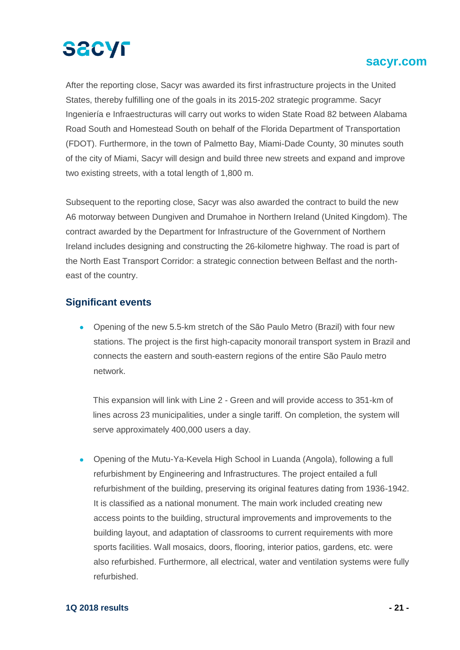

### **sacyr.com sacyr.com**

After the reporting close, Sacyr was awarded its first infrastructure projects in the United States, thereby fulfilling one of the goals in its 2015-202 strategic programme. Sacyr Ingeniería e Infraestructuras will carry out works to widen State Road 82 between Alabama Road South and Homestead South on behalf of the Florida Department of Transportation (FDOT). Furthermore, in the town of Palmetto Bay, Miami-Dade County, 30 minutes south of the city of Miami, Sacyr will design and build three new streets and expand and improve two existing streets, with a total length of 1,800 m.

Subsequent to the reporting close, Sacyr was also awarded the contract to build the new A6 motorway between Dungiven and Drumahoe in Northern Ireland (United Kingdom). The contract awarded by the Department for Infrastructure of the Government of Northern Ireland includes designing and constructing the 26-kilometre highway. The road is part of the North East Transport Corridor: a strategic connection between Belfast and the northeast of the country.

#### **Significant events**

 Opening of the new 5.5-km stretch of the São Paulo Metro (Brazil) with four new stations. The project is the first high-capacity monorail transport system in Brazil and connects the eastern and south-eastern regions of the entire São Paulo metro network.

This expansion will link with Line 2 - Green and will provide access to 351-km of lines across 23 municipalities, under a single tariff. On completion, the system will serve approximately 400,000 users a day.

 Opening of the Mutu-Ya-Kevela High School in Luanda (Angola), following a full refurbishment by Engineering and Infrastructures. The project entailed a full refurbishment of the building, preserving its original features dating from 1936-1942. It is classified as a national monument. The main work included creating new access points to the building, structural improvements and improvements to the building layout, and adaptation of classrooms to current requirements with more sports facilities. Wall mosaics, doors, flooring, interior patios, gardens, etc. were also refurbished. Furthermore, all electrical, water and ventilation systems were fully refurbished.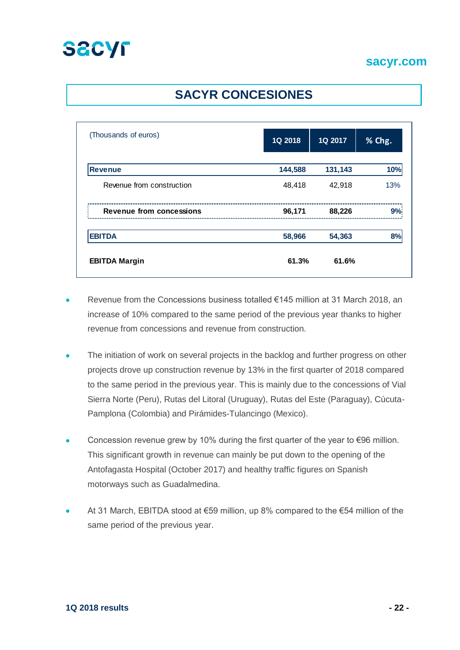## **SACYR CONCESIONES**

| (Thousands of euros)            | 1Q 2018 | 1Q 2017 | % Chg.         |
|---------------------------------|---------|---------|----------------|
| <b>Revenue</b>                  | 144,588 | 131,143 | 10%            |
| Revenue from construction       | 48,418  | 42,918  | 13%            |
| <b>Revenue from concessions</b> | 96,171  | 88,226  | 9 <sup>o</sup> |
| <b>EBITDA</b>                   | 58,966  | 54,363  |                |
| <b>EBITDA Margin</b>            | 61.3%   | 61.6%   |                |

- Revenue from the Concessions business totalled €145 million at 31 March 2018, an increase of 10% compared to the same period of the previous year thanks to higher revenue from concessions and revenue from construction.
- The initiation of work on several projects in the backlog and further progress on other projects drove up construction revenue by 13% in the first quarter of 2018 compared to the same period in the previous year. This is mainly due to the concessions of Vial Sierra Norte (Peru), Rutas del Litoral (Uruguay), Rutas del Este (Paraguay), Cúcuta-Pamplona (Colombia) and Pirámides-Tulancingo (Mexico).
- Concession revenue grew by 10% during the first quarter of the year to €96 million. This significant growth in revenue can mainly be put down to the opening of the Antofagasta Hospital (October 2017) and healthy traffic figures on Spanish motorways such as Guadalmedina.
- At 31 March, EBITDA stood at €59 million, up 8% compared to the €54 million of the same period of the previous year.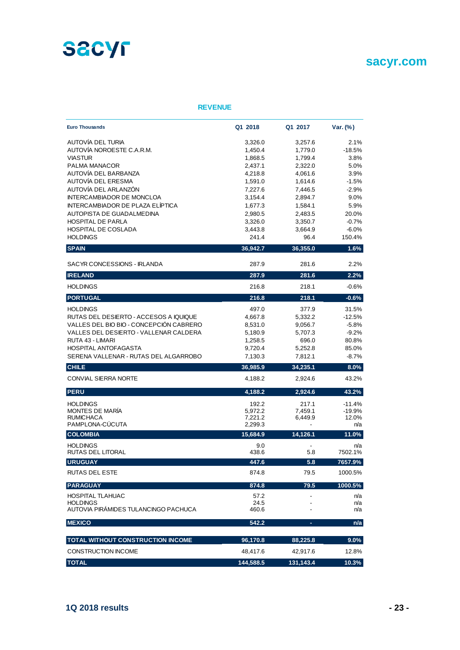

## **sacyr.com sacyr.com**

#### **REVENUE**

| <b>Euro Thousands</b>                   | Q1 2018   | Q1 2017                  | Var. (%) |
|-----------------------------------------|-----------|--------------------------|----------|
| AUTOVÍA DEL TURIA                       | 3,326.0   | 3,257.6                  | 2.1%     |
| AUTOVÍA NOROESTE C.A.R.M.               | 1,450.4   | 1,779.0                  | $-18.5%$ |
| <b>VIASTUR</b>                          | 1,868.5   | 1,799.4                  | 3.8%     |
| PALMA MANACOR                           | 2,437.1   | 2,322.0                  | 5.0%     |
| AUTOVÍA DEL BARBANZA                    | 4,218.8   | 4,061.6                  | 3.9%     |
| AUTOVÍA DEL ERESMA                      | 1,591.0   | 1,614.6                  | $-1.5%$  |
| AUTOVÍA DEL ARLANZÓN                    | 7,227.6   | 7,446.5                  | $-2.9%$  |
| <b>INTERCAMBIADOR DE MONCLOA</b>        | 3,154.4   | 2,894.7                  | 9.0%     |
| <b>INTERCAMBIADOR DE PLAZA ELÍPTICA</b> | 1,677.3   | 1,584.1                  | 5.9%     |
| AUTOPISTA DE GUADALMEDINA               | 2,980.5   | 2,483.5                  | 20.0%    |
| <b>HOSPITAL DE PARLA</b>                | 3,326.0   | 3,350.7                  | $-0.7%$  |
| <b>HOSPITAL DE COSLADA</b>              | 3,443.8   | 3,664.9                  | $-6.0%$  |
| <b>HOLDINGS</b>                         | 241.4     | 96.4                     | 150.4%   |
| <b>SPAIN</b>                            | 36,942.7  | 36,355.0                 | 1.6%     |
| SACYR CONCESSIONS - IRLANDA             | 287.9     | 281.6                    | 2.2%     |
| <b>IRELAND</b>                          | 287.9     | 281.6                    | 2.2%     |
| <b>HOLDINGS</b>                         | 216.8     | 218.1                    | $-0.6%$  |
| <b>PORTUGAL</b>                         | 216.8     | 218.1                    | $-0.6%$  |
| <b>HOLDINGS</b>                         | 497.0     | 377.9                    | 31.5%    |
| RUTAS DEL DESIERTO - ACCESOS A IQUIQUE  | 4,667.8   | 5,332.2                  | $-12.5%$ |
| VALLES DEL BIO BIO - CONCEPCIÓN CABRERO | 8,531.0   | 9,056.7                  | $-5.8%$  |
| VALLES DEL DESIERTO - VALLENAR CALDERA  | 5,180.9   | 5,707.3                  | $-9.2%$  |
| RUTA 43 - LIMARI                        | 1,258.5   | 696.0                    | 80.8%    |
| <b>HOSPITAL ANTOFAGASTA</b>             | 9,720.4   | 5,252.8                  | 85.0%    |
| SERENA VALLENAR - RUTAS DEL ALGARROBO   | 7,130.3   | 7,812.1                  | $-8.7%$  |
| <b>CHILE</b>                            | 36,985.9  | 34,235.1                 | 8.0%     |
| <b>CONVIAL SIERRA NORTE</b>             | 4,188.2   | 2,924.6                  | 43.2%    |
| <b>PERU</b>                             | 4,188.2   | 2,924.6                  | 43.2%    |
| <b>HOLDINGS</b>                         | 192.2     | 217.1                    | $-11.4%$ |
| MONTES DE MARÍA                         | 5,972.2   | 7,459.1                  | $-19.9%$ |
| <b>RUMICHACA</b>                        | 7,221.2   | 6,449.9                  | 12.0%    |
| PAMPLONA-CÚCUTA                         | 2,299.3   |                          | n/a      |
| <b>COLOMBIA</b>                         | 15,684.9  | 14,126.1                 | 11.0%    |
| <b>HOLDINGS</b>                         | 9.0       | $\overline{\phantom{a}}$ | n/a      |
| RUTAS DEL LITORAL                       | 438.6     | 5.8                      | 7502.1%  |
| <b>URUGUAY</b>                          | 447.6     | 5.8                      | 7657.9%  |
| <b>RUTAS DEL ESTE</b>                   | 874.8     | 79.5                     | 1000.5%  |
| <b>PARAGUAY</b>                         | 874.8     | 79.5                     | 1000.5%  |
| <b>HOSPITAL TLAHUAC</b>                 | 57.2      |                          | n/a      |
| <b>HOLDINGS</b>                         | 24.5      |                          | n/a      |
| AUTOVIA PIRÁMIDES TULANCINGO PACHUCA    | 460.6     |                          | n/a      |
| <b>MEXICO</b>                           | 542.2     | ٠                        | n/a      |
| TOTAL WITHOUT CONSTRUCTION INCOME       | 96,170.8  | 88,225.8                 | $9.0\%$  |
| <b>CONSTRUCTION INCOME</b>              | 48,417.6  | 42,917.6                 | 12.8%    |
| <b>TOTAL</b>                            | 144.588.5 | 131,143.4                | 10.3%    |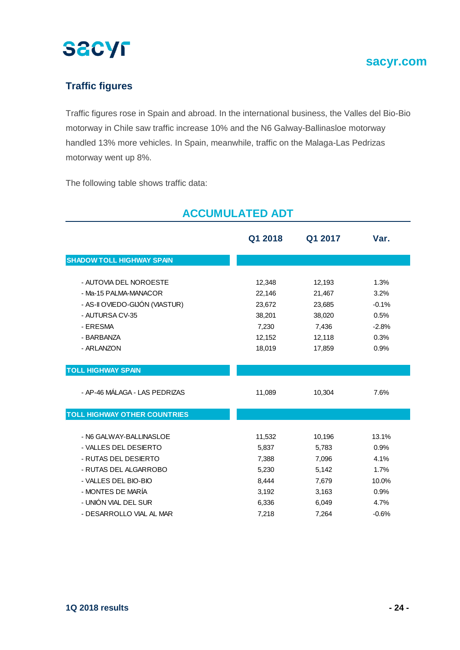

## **Traffic figures**

Traffic figures rose in Spain and abroad. In the international business, the Valles del Bio-Bio motorway in Chile saw traffic increase 10% and the N6 Galway-Ballinasloe motorway handled 13% more vehicles. In Spain, meanwhile, traffic on the Malaga-Las Pedrizas motorway went up 8%.

The following table shows traffic data:

|                                     | Q1 2018 | Q1 2017 | Var.    |
|-------------------------------------|---------|---------|---------|
| <b>SHADOW TOLL HIGHWAY SPAIN</b>    |         |         |         |
| - AUTOVIA DEL NOROESTE              | 12,348  | 12,193  | 1.3%    |
| - Ma-15 PALMA-MANACOR               | 22,146  | 21,467  | 3.2%    |
| - AS-II OVIEDO-GIJÓN (VIASTUR)      | 23,672  | 23,685  | $-0.1%$ |
| - AUTURSA CV-35                     | 38,201  | 38,020  | 0.5%    |
| - ERESMA                            | 7,230   | 7,436   | $-2.8%$ |
| - BARBANZA                          | 12,152  | 12,118  | 0.3%    |
| - ARLANZON                          | 18,019  | 17,859  | 0.9%    |
| <b>TOLL HIGHWAY SPAIN</b>           |         |         |         |
| - AP-46 MÁLAGA - LAS PEDRIZAS       | 11,089  | 10,304  | 7.6%    |
| <b>TOLL HIGHWAY OTHER COUNTRIES</b> |         |         |         |
| - N6 GALWAY-BALLINASLOE             | 11,532  | 10,196  | 13.1%   |
| - VALLES DEL DESIERTO               | 5,837   | 5,783   | 0.9%    |
| - RUTAS DEL DESIERTO                | 7,388   | 7,096   | 4.1%    |
| - RUTAS DEL ALGARROBO               | 5,230   | 5,142   | 1.7%    |
| - VALLES DEL BIO-BIO                | 8,444   | 7,679   | 10.0%   |
| - MONTES DE MARÍA                   | 3,192   | 3,163   | 0.9%    |
| - UNIÓN VIAL DEL SUR                | 6,336   | 6,049   | 4.7%    |
| - DESARROLLO VIAL AL MAR            | 7,218   | 7,264   | $-0.6%$ |

## **ACCUMULATED ADT**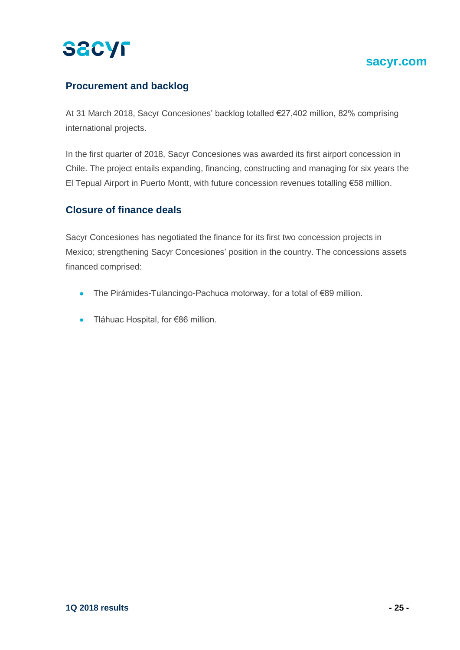## **sacyr.com sacyr.com**

## **Procurement and backlog**

At 31 March 2018, Sacyr Concesiones' backlog totalled €27,402 million, 82% comprising international projects.

In the first quarter of 2018, Sacyr Concesiones was awarded its first airport concession in Chile. The project entails expanding, financing, constructing and managing for six years the El Tepual Airport in Puerto Montt, with future concession revenues totalling €58 million.

### **Closure of finance deals**

Sacyr Concesiones has negotiated the finance for its first two concession projects in Mexico; strengthening Sacyr Concesiones' position in the country. The concessions assets financed comprised:

- The Pirámides-Tulancingo-Pachuca motorway, for a total of €89 million.
- Tláhuac Hospital, for €86 million.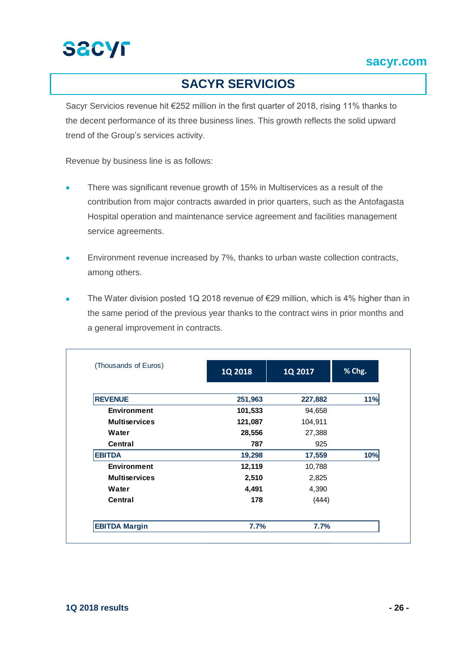

## **SACYR SERVICIOS**

Sacyr Servicios revenue hit €252 million in the first quarter of 2018, rising 11% thanks to the decent performance of its three business lines. This growth reflects the solid upward trend of the Group's services activity.

Revenue by business line is as follows:

- There was significant revenue growth of 15% in Multiservices as a result of the contribution from major contracts awarded in prior quarters, such as the Antofagasta Hospital operation and maintenance service agreement and facilities management service agreements.
- **Environment revenue increased by 7%, thanks to urban waste collection contracts,** among others.
- The Water division posted 1Q 2018 revenue of €29 million, which is 4% higher than in the same period of the previous year thanks to the contract wins in prior months and a general improvement in contracts.

| (Thousands of Euros) | 1Q 2018 | 1Q 2017 | % Chg. |
|----------------------|---------|---------|--------|
|                      |         |         |        |
| <b>REVENUE</b>       | 251,963 | 227,882 | 11%    |
| <b>Environment</b>   | 101,533 | 94,658  |        |
| <b>Multiservices</b> | 121,087 | 104,911 |        |
| Water                | 28,556  | 27,388  |        |
| Central              | 787     | 925     |        |
| <b>EBITDA</b>        | 19,298  | 17,559  | 10%    |
| <b>Environment</b>   | 12,119  | 10,788  |        |
| <b>Multiservices</b> | 2,510   | 2,825   |        |
| Water                | 4,491   | 4,390   |        |
| Central              | 178     | (444)   |        |
| <b>EBITDA Margin</b> | 7.7%    | 7.7%    |        |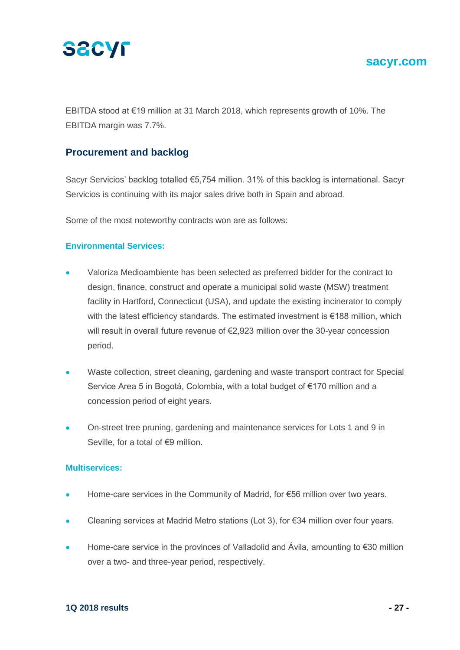

### **sacyr.com sacyr.com**

EBITDA stood at €19 million at 31 March 2018, which represents growth of 10%. The EBITDA margin was 7.7%.

### **Procurement and backlog**

Sacyr Servicios' backlog totalled €5,754 million. 31% of this backlog is international. Sacyr Servicios is continuing with its major sales drive both in Spain and abroad.

Some of the most noteworthy contracts won are as follows:

#### **Environmental Services:**

- Valoriza Medioambiente has been selected as preferred bidder for the contract to design, finance, construct and operate a municipal solid waste (MSW) treatment facility in Hartford, Connecticut (USA), and update the existing incinerator to comply with the latest efficiency standards. The estimated investment is €188 million, which will result in overall future revenue of €2,923 million over the 30-year concession period.
- Waste collection, street cleaning, gardening and waste transport contract for Special Service Area 5 in Bogotá, Colombia, with a total budget of €170 million and a concession period of eight years.
- On-street tree pruning, gardening and maintenance services for Lots 1 and 9 in Seville, for a total of €9 million.

#### **Multiservices:**

- Home-care services in the Community of Madrid, for €56 million over two years.
- Cleaning services at Madrid Metro stations (Lot 3), for €34 million over four years.
- Home-care service in the provinces of Valladolid and Ávila, amounting to €30 million over a two- and three-year period, respectively.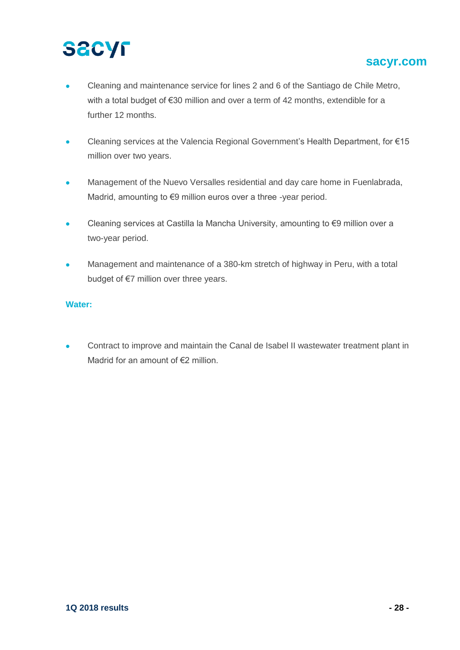## **sacyr.com sacyr.com**

- Cleaning and maintenance service for lines 2 and 6 of the Santiago de Chile Metro, with a total budget of €30 million and over a term of 42 months, extendible for a further 12 months.
- Cleaning services at the Valencia Regional Government's Health Department, for €15 million over two years.
- Management of the Nuevo Versalles residential and day care home in Fuenlabrada, Madrid, amounting to €9 million euros over a three -year period.
- Cleaning services at Castilla la Mancha University, amounting to €9 million over a two-year period.
- Management and maintenance of a 380-km stretch of highway in Peru, with a total budget of €7 million over three years.

#### **Water:**

**Contract to improve and maintain the Canal de Isabel II wastewater treatment plant in** Madrid for an amount of €2 million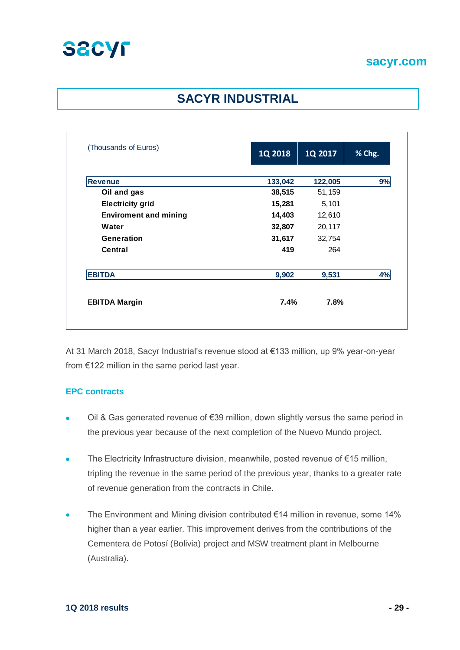

## **SACYR INDUSTRIAL**

| (Thousands of Euros)         | 1Q 2018 | 1Q 2017 | % Chg. |
|------------------------------|---------|---------|--------|
|                              |         |         |        |
| <b>Revenue</b>               | 133,042 | 122,005 | 9%     |
| Oil and gas                  | 38,515  | 51,159  |        |
| <b>Electricity grid</b>      | 15,281  | 5,101   |        |
| <b>Enviroment and mining</b> | 14,403  | 12,610  |        |
| Water                        | 32,807  | 20,117  |        |
| Generation                   | 31,617  | 32,754  |        |
| Central                      | 419     | 264     |        |
| <b>EBITDA</b>                | 9,902   | 9,531   | 4%     |
| <b>EBITDA Margin</b>         | 7.4%    | 7.8%    |        |

At 31 March 2018, Sacyr Industrial's revenue stood at €133 million, up 9% year-on-year from €122 million in the same period last year.

#### **EPC contracts**

- Oil & Gas generated revenue of €39 million, down slightly versus the same period in the previous year because of the next completion of the Nuevo Mundo project.
- The Electricity Infrastructure division, meanwhile, posted revenue of €15 million, tripling the revenue in the same period of the previous year, thanks to a greater rate of revenue generation from the contracts in Chile.
- The Environment and Mining division contributed €14 million in revenue, some 14% higher than a year earlier. This improvement derives from the contributions of the Cementera de Potosí (Bolivia) project and MSW treatment plant in Melbourne (Australia).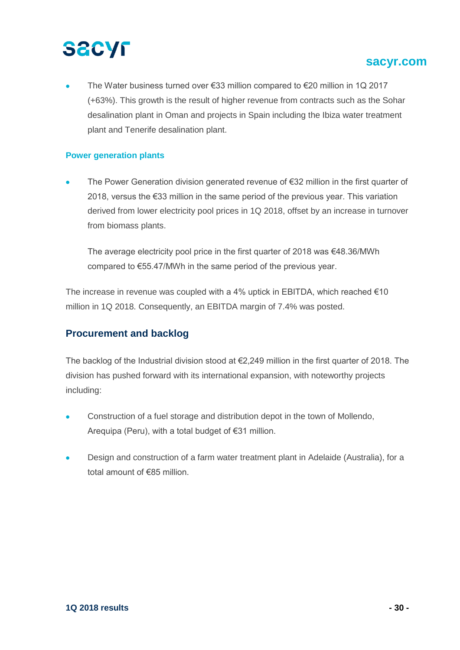## **sacyr.com sacyr.com**

 The Water business turned over €33 million compared to €20 million in 1Q 2017 (+63%). This growth is the result of higher revenue from contracts such as the Sohar desalination plant in Oman and projects in Spain including the Ibiza water treatment plant and Tenerife desalination plant.

#### **Power generation plants**

• The Power Generation division generated revenue of €32 million in the first quarter of 2018, versus the €33 million in the same period of the previous year. This variation derived from lower electricity pool prices in 1Q 2018, offset by an increase in turnover from biomass plants.

The average electricity pool price in the first quarter of 2018 was  $\epsilon$ 48.36/MWh compared to €55.47/MWh in the same period of the previous year.

The increase in revenue was coupled with a 4% uptick in EBITDA, which reached  $€10$ million in 1Q 2018. Consequently, an EBITDA margin of 7.4% was posted.

#### **Procurement and backlog**

The backlog of the Industrial division stood at  $\epsilon$ 2.249 million in the first quarter of 2018. The division has pushed forward with its international expansion, with noteworthy projects including:

- Construction of a fuel storage and distribution depot in the town of Mollendo, Arequipa (Peru), with a total budget of €31 million.
- Design and construction of a farm water treatment plant in Adelaide (Australia), for a total amount of €85 million.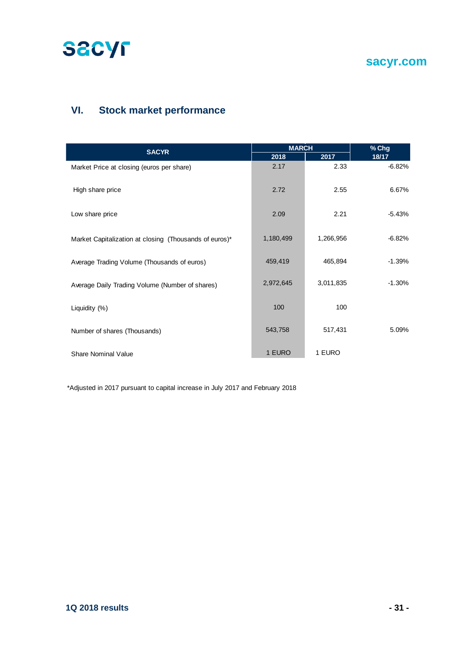

**sacyr.com sacyr.com**

## **VI. Stock market performance**

| <b>SACYR</b>                                           | <b>MARCH</b> |           | % Chg    |  |
|--------------------------------------------------------|--------------|-----------|----------|--|
|                                                        | 2018         | 2017      | 18/17    |  |
| Market Price at closing (euros per share)              | 2.17         | 2.33      | $-6.82%$ |  |
| High share price                                       | 2.72         | 2.55      | 6.67%    |  |
| Low share price                                        | 2.09         | 2.21      | $-5.43%$ |  |
| Market Capitalization at closing (Thousands of euros)* | 1,180,499    | 1,266,956 | $-6.82%$ |  |
| Average Trading Volume (Thousands of euros)            | 459,419      | 465,894   | $-1.39%$ |  |
| Average Daily Trading Volume (Number of shares)        | 2,972,645    | 3,011,835 | $-1.30%$ |  |
| Liquidity (%)                                          | 100          | 100       |          |  |
| Number of shares (Thousands)                           | 543,758      | 517,431   | 5.09%    |  |
| <b>Share Nominal Value</b>                             | 1 EURO       | 1 EURO    |          |  |

\*Adjusted in 2017 pursuant to capital increase in July 2017 and February 2018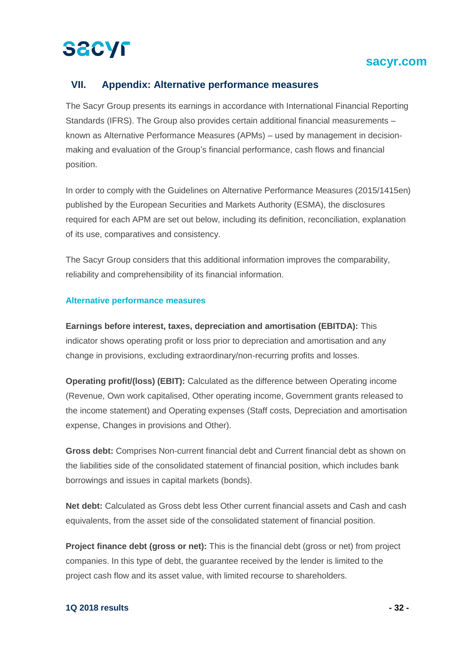## **sacyr.com sacyr.com**

### **VII. Appendix: Alternative performance measures**

The Sacyr Group presents its earnings in accordance with International Financial Reporting Standards (IFRS). The Group also provides certain additional financial measurements – known as Alternative Performance Measures (APMs) – used by management in decisionmaking and evaluation of the Group's financial performance, cash flows and financial position.

In order to comply with the Guidelines on Alternative Performance Measures (2015/1415en) published by the European Securities and Markets Authority (ESMA), the disclosures required for each APM are set out below, including its definition, reconciliation, explanation of its use, comparatives and consistency.

The Sacyr Group considers that this additional information improves the comparability, reliability and comprehensibility of its financial information.

#### **Alternative performance measures**

**Earnings before interest, taxes, depreciation and amortisation (EBITDA):** This indicator shows operating profit or loss prior to depreciation and amortisation and any change in provisions, excluding extraordinary/non-recurring profits and losses.

**Operating profit/(loss) (EBIT):** Calculated as the difference between Operating income (Revenue, Own work capitalised, Other operating income, Government grants released to the income statement) and Operating expenses (Staff costs, Depreciation and amortisation expense, Changes in provisions and Other).

**Gross debt:** Comprises Non-current financial debt and Current financial debt as shown on the liabilities side of the consolidated statement of financial position, which includes bank borrowings and issues in capital markets (bonds).

**Net debt:** Calculated as Gross debt less Other current financial assets and Cash and cash equivalents, from the asset side of the consolidated statement of financial position.

**Project finance debt (gross or net):** This is the financial debt (gross or net) from project companies. In this type of debt, the guarantee received by the lender is limited to the project cash flow and its asset value, with limited recourse to shareholders.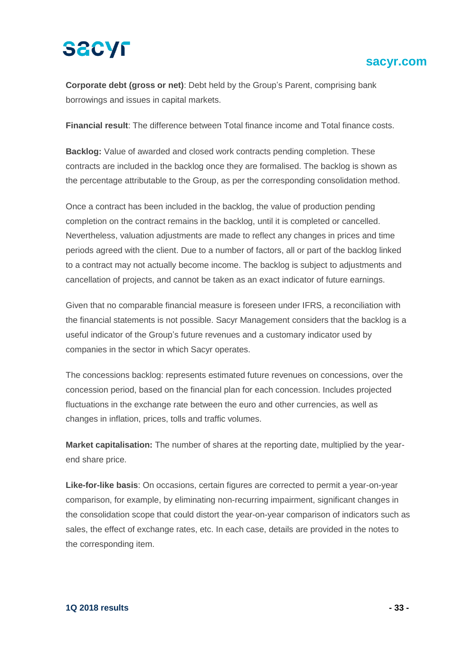### **sacyr.com sacyr.com**

**Corporate debt (gross or net)**: Debt held by the Group's Parent, comprising bank borrowings and issues in capital markets.

**Financial result**: The difference between Total finance income and Total finance costs.

**Backlog:** Value of awarded and closed work contracts pending completion. These contracts are included in the backlog once they are formalised. The backlog is shown as the percentage attributable to the Group, as per the corresponding consolidation method.

Once a contract has been included in the backlog, the value of production pending completion on the contract remains in the backlog, until it is completed or cancelled. Nevertheless, valuation adjustments are made to reflect any changes in prices and time periods agreed with the client. Due to a number of factors, all or part of the backlog linked to a contract may not actually become income. The backlog is subject to adjustments and cancellation of projects, and cannot be taken as an exact indicator of future earnings.

Given that no comparable financial measure is foreseen under IFRS, a reconciliation with the financial statements is not possible. Sacyr Management considers that the backlog is a useful indicator of the Group's future revenues and a customary indicator used by companies in the sector in which Sacyr operates.

The concessions backlog: represents estimated future revenues on concessions, over the concession period, based on the financial plan for each concession. Includes projected fluctuations in the exchange rate between the euro and other currencies, as well as changes in inflation, prices, tolls and traffic volumes.

**Market capitalisation:** The number of shares at the reporting date, multiplied by the yearend share price.

**Like-for-like basis**: On occasions, certain figures are corrected to permit a year-on-year comparison, for example, by eliminating non-recurring impairment, significant changes in the consolidation scope that could distort the year-on-year comparison of indicators such as sales, the effect of exchange rates, etc. In each case, details are provided in the notes to the corresponding item.